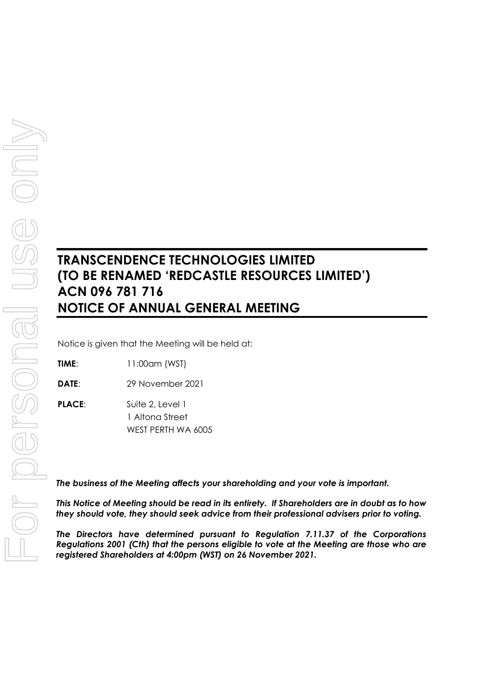# **TRANSCENDENCE TECHNOLOGIES LIMITED (TO BE RENAMED 'REDCASTLE RESOURCES LIMITED') ACN 096 781 716 NOTICE OF ANNUAL GENERAL MEETING**

Notice is given that the Meeting will be held at:

**TIME**: 11:00am (WST)

**DATE**: 29 November 2021

**PLACE:** Suite 2, Level 1 1 Altona Street WEST PERTH WA 6005

*The business of the Meeting affects your shareholding and your vote is important.*

*This Notice of Meeting should be read in its entirety. If Shareholders are in doubt as to how they should vote, they should seek advice from their professional advisers prior to voting.*

*The Directors have determined pursuant to Regulation 7.11.37 of the Corporations Regulations 2001 (Cth) that the persons eligible to vote at the Meeting are those who are registered Shareholders at 4:00pm (WST) on 26 November 2021.*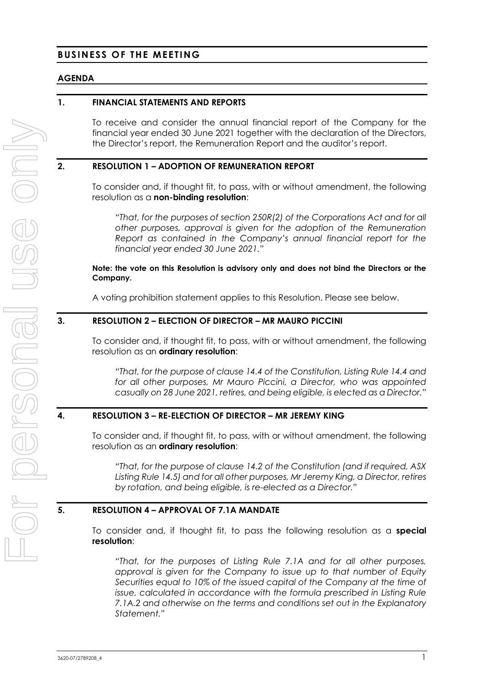# **BUSINESS OF THE MEETING**

# **AGENDA**

#### **1. FINANCIAL STATEMENTS AND REPORTS**

To receive and consider the annual financial report of the Company for the financial year ended 30 June 2021 together with the declaration of the Directors, the Director's report, the Remuneration Report and the auditor's report.

#### **2. RESOLUTION 1 – ADOPTION OF REMUNERATION REPORT**

To consider and, if thought fit, to pass, with or without amendment, the following resolution as a **non-binding resolution**:

*"That, for the purposes of section 250R(2) of the Corporations Act and for all other purposes, approval is given for the adoption of the Remuneration Report as contained in the Company's annual financial report for the financial year ended 30 June 2021."*

#### **Note: the vote on this Resolution is advisory only and does not bind the Directors or the Company.**

A voting prohibition statement applies to this Resolution. Please see below.

#### **3. RESOLUTION 2 – ELECTION OF DIRECTOR – MR MAURO PICCINI**

To consider and, if thought fit, to pass, with or without amendment, the following resolution as an **ordinary resolution**:

*"That, for the purpose of clause 14.4 of the Constitution, Listing Rule 14.4 and for all other purposes, Mr Mauro Piccini, a Director, who was appointed casually on 28 June 2021, retires, and being eligible, is elected as a Director."*

#### **4. RESOLUTION 3 – RE-ELECTION OF DIRECTOR – MR JEREMY KING**

To consider and, if thought fit, to pass, with or without amendment, the following resolution as an **ordinary resolution**:

*"That, for the purpose of clause 14.2 of the Constitution (and if required, ASX Listing Rule 14.5) and for all other purposes, Mr Jeremy King, a Director, retires by rotation, and being eligible, is re-elected as a Director."*

#### **5. RESOLUTION 4 – APPROVAL OF 7.1A MANDATE**

To consider and, if thought fit, to pass the following resolution as a **special resolution**:

*"That, for the purposes of Listing Rule 7.1A and for all other purposes, approval is given for the Company to issue up to that number of Equity Securities equal to 10% of the issued capital of the Company at the time of issue, calculated in accordance with the formula prescribed in Listing Rule 7.1A.2 and otherwise on the terms and conditions set out in the Explanatory Statement."*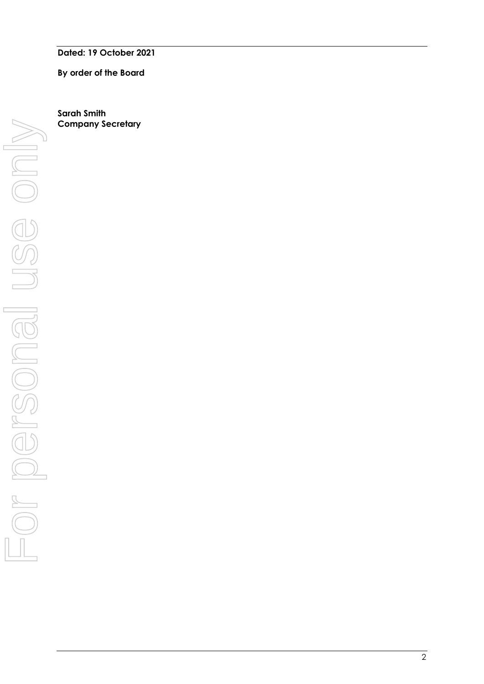#### **Dated: 19 October 2021**

#### **By order of the Board**

**Sarah Smith Company Secretary**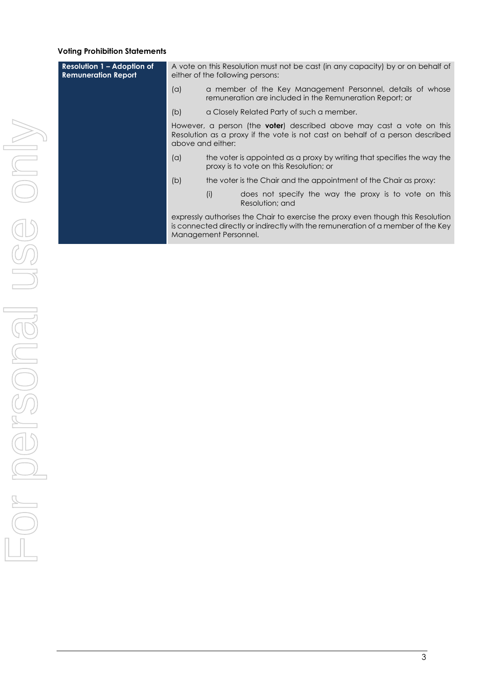#### **Voting Prohibition Statements**

| <b>Resolution 1 – Adoption of</b><br><b>Remuneration Report</b> |     | A vote on this Resolution must not be cast (in any capacity) by or on behalf of<br>either of the following persons:                                                                           |
|-----------------------------------------------------------------|-----|-----------------------------------------------------------------------------------------------------------------------------------------------------------------------------------------------|
|                                                                 | (a) | a member of the Key Management Personnel, details of whose<br>remuneration are included in the Remuneration Report; or                                                                        |
|                                                                 | (b) | a Closely Related Party of such a member.                                                                                                                                                     |
|                                                                 |     | However, a person (the <b>voter</b> ) described above may cast a vote on this<br>Resolution as a proxy if the vote is not cast on behalf of a person described<br>above and either:           |
|                                                                 | (a) | the voter is appointed as a proxy by writing that specifies the way the<br>proxy is to vote on this Resolution; or                                                                            |
|                                                                 | (b) | the voter is the Chair and the appointment of the Chair as proxy:                                                                                                                             |
|                                                                 |     | (i)<br>does not specify the way the proxy is to vote on this<br>Resolution; and                                                                                                               |
|                                                                 |     | expressly authorises the Chair to exercise the proxy even though this Resolution<br>is connected directly or indirectly with the remuneration of a member of the Key<br>Management Personnel. |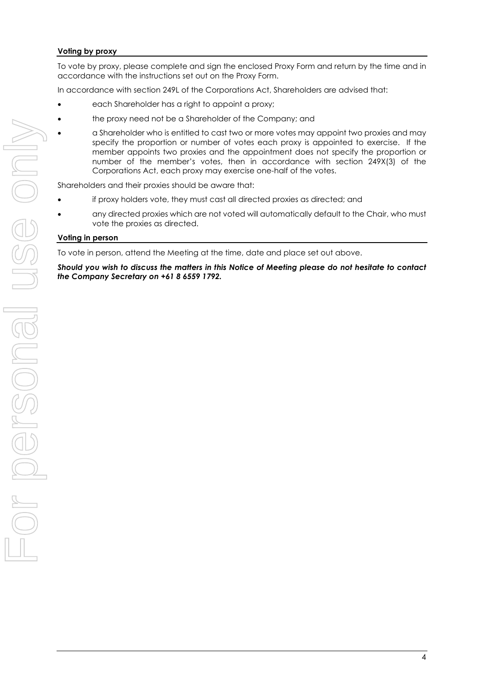#### **Voting by proxy**

To vote by proxy, please complete and sign the enclosed Proxy Form and return by the time and in accordance with the instructions set out on the Proxy Form.

In accordance with section 249L of the Corporations Act, Shareholders are advised that:

- each Shareholder has a right to appoint a proxy;
- the proxy need not be a Shareholder of the Company; and
- a Shareholder who is entitled to cast two or more votes may appoint two proxies and may specify the proportion or number of votes each proxy is appointed to exercise. If the member appoints two proxies and the appointment does not specify the proportion or number of the member's votes, then in accordance with section 249X(3) of the Corporations Act, each proxy may exercise one-half of the votes.

Shareholders and their proxies should be aware that:

- if proxy holders vote, they must cast all directed proxies as directed; and
- any directed proxies which are not voted will automatically default to the Chair, who must vote the proxies as directed.

#### **Voting in person**

To vote in person, attend the Meeting at the time, date and place set out above.

*Should you wish to discuss the matters in this Notice of Meeting please do not hesitate to contact the Company Secretary on +61 8 6559 1792.*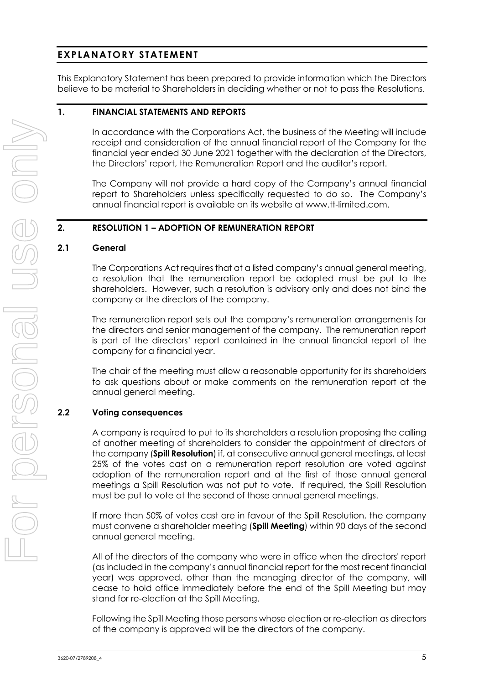# **EXPLANATORY STATEMENT**

This Explanatory Statement has been prepared to provide information which the Directors believe to be material to Shareholders in deciding whether or not to pass the Resolutions.

#### **1. FINANCIAL STATEMENTS AND REPORTS**

In accordance with the Corporations Act, the business of the Meeting will include receipt and consideration of the annual financial report of the Company for the financial year ended 30 June 2021 together with the declaration of the Directors, the Directors' report, the Remuneration Report and the auditor's report.

The Company will not provide a hard copy of the Company's annual financial report to Shareholders unless specifically requested to do so. The Company's annual financial report is available on its website at www.tt-limited.com.

# **2. RESOLUTION 1 – ADOPTION OF REMUNERATION REPORT**

#### **2.1 General**

The Corporations Act requires that at a listed company's annual general meeting, a resolution that the remuneration report be adopted must be put to the shareholders. However, such a resolution is advisory only and does not bind the company or the directors of the company.

The remuneration report sets out the company's remuneration arrangements for the directors and senior management of the company. The remuneration report is part of the directors' report contained in the annual financial report of the company for a financial year.

The chair of the meeting must allow a reasonable opportunity for its shareholders to ask questions about or make comments on the remuneration report at the annual general meeting.

# **2.2 Voting consequences**

A company is required to put to its shareholders a resolution proposing the calling of another meeting of shareholders to consider the appointment of directors of the company (**Spill Resolution**) if, at consecutive annual general meetings, at least 25% of the votes cast on a remuneration report resolution are voted against adoption of the remuneration report and at the first of those annual general meetings a Spill Resolution was not put to vote. If required, the Spill Resolution must be put to vote at the second of those annual general meetings.

If more than 50% of votes cast are in favour of the Spill Resolution, the company must convene a shareholder meeting (**Spill Meeting**) within 90 days of the second annual general meeting.

All of the directors of the company who were in office when the directors' report (as included in the company's annual financial report for the most recent financial year) was approved, other than the managing director of the company, will cease to hold office immediately before the end of the Spill Meeting but may stand for re-election at the Spill Meeting.

Following the Spill Meeting those persons whose election or re-election as directors of the company is approved will be the directors of the company.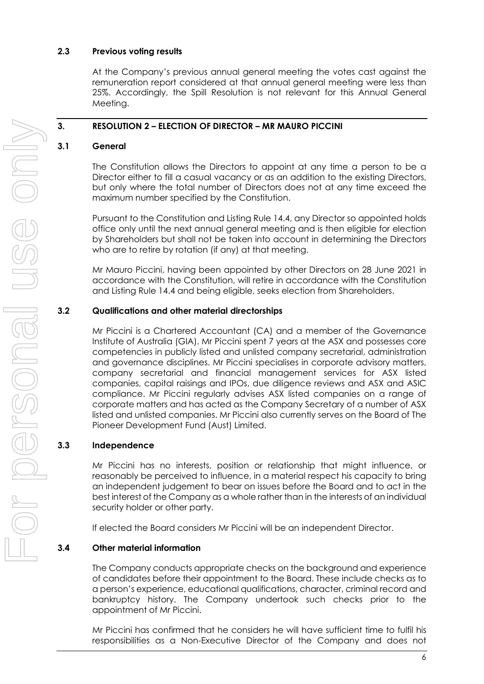#### **2.3 Previous voting results**

At the Company's previous annual general meeting the votes cast against the remuneration report considered at that annual general meeting were less than 25%. Accordingly, the Spill Resolution is not relevant for this Annual General Meeting.

# **3. RESOLUTION 2 – ELECTION OF DIRECTOR – MR MAURO PICCINI**

# **3.1 General**

The Constitution allows the Directors to appoint at any time a person to be a Director either to fill a casual vacancy or as an addition to the existing Directors, but only where the total number of Directors does not at any time exceed the maximum number specified by the Constitution.

Pursuant to the Constitution and Listing Rule 14.4, any Director so appointed holds office only until the next annual general meeting and is then eligible for election by Shareholders but shall not be taken into account in determining the Directors who are to retire by rotation (if any) at that meeting.

Mr Mauro Piccini, having been appointed by other Directors on 28 June 2021 in accordance with the Constitution, will retire in accordance with the Constitution and Listing Rule 14.4 and being eligible, seeks election from Shareholders.

# **3.2 Qualifications and other material directorships**

Mr Piccini is a Chartered Accountant (CA) and a member of the Governance Institute of Australia (GIA). Mr Piccini spent 7 years at the ASX and possesses core competencies in publicly listed and unlisted company secretarial, administration and governance disciplines. Mr Piccini specialises in corporate advisory matters, company secretarial and financial management services for ASX listed companies, capital raisings and IPOs, due diligence reviews and ASX and ASIC compliance. Mr Piccini regularly advises ASX listed companies on a range of corporate matters and has acted as the Company Secretary of a number of ASX listed and unlisted companies. Mr Piccini also currently serves on the Board of The Pioneer Development Fund (Aust) Limited.

# **3.3 Independence**

Mr Piccini has no interests, position or relationship that might influence, or reasonably be perceived to influence, in a material respect his capacity to bring an independent judgement to bear on issues before the Board and to act in the best interest of the Company as a whole rather than in the interests of an individual security holder or other party.

If elected the Board considers Mr Piccini will be an independent Director.

# **3.4 Other material information**

The Company conducts appropriate checks on the background and experience of candidates before their appointment to the Board. These include checks as to a person's experience, educational qualifications, character, criminal record and bankruptcy history. The Company undertook such checks prior to the appointment of Mr Piccini.

Mr Piccini has confirmed that he considers he will have sufficient time to fulfil his responsibilities as a Non-Executive Director of the Company and does not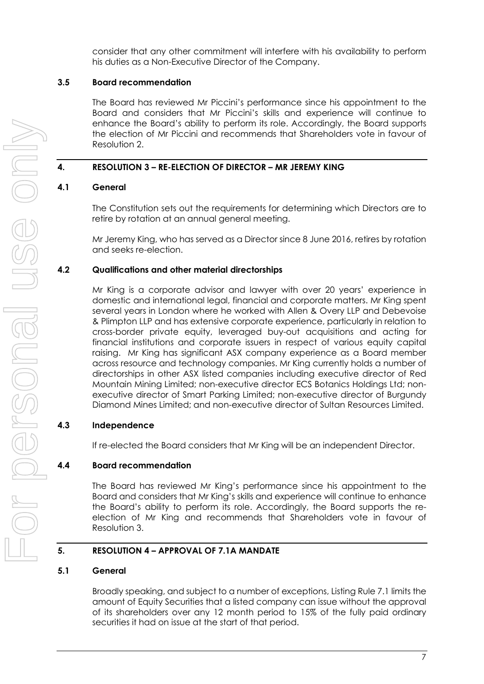consider that any other commitment will interfere with his availability to perform his duties as a Non-Executive Director of the Company.

# **3.5 Board recommendation**

The Board has reviewed Mr Piccini's performance since his appointment to the Board and considers that Mr Piccini's skills and experience will continue to enhance the Board's ability to perform its role. Accordingly, the Board supports the election of Mr Piccini and recommends that Shareholders vote in favour of Resolution 2.

# **4. RESOLUTION 3 – RE-ELECTION OF DIRECTOR – MR JEREMY KING**

# **4.1 General**

The Constitution sets out the requirements for determining which Directors are to retire by rotation at an annual general meeting.

Mr Jeremy King, who has served as a Director since 8 June 2016, retires by rotation and seeks re-election.

# **4.2 Qualifications and other material directorships**

Mr King is a corporate advisor and lawyer with over 20 years' experience in domestic and international legal, financial and corporate matters. Mr King spent several years in London where he worked with Allen & Overy LLP and Debevoise & Plimpton LLP and has extensive corporate experience, particularly in relation to cross-border private equity, leveraged buy-out acquisitions and acting for financial institutions and corporate issuers in respect of various equity capital raising. Mr King has significant ASX company experience as a Board member across resource and technology companies. Mr King currently holds a number of directorships in other ASX listed companies including executive director of Red Mountain Mining Limited; non-executive director ECS Botanics Holdings Ltd; nonexecutive director of Smart Parking Limited; non-executive director of Burgundy Diamond Mines Limited; and non-executive director of Sultan Resources Limited.

# **4.3 Independence**

If re-elected the Board considers that Mr King will be an independent Director.

# **4.4 Board recommendation**

The Board has reviewed Mr King's performance since his appointment to the Board and considers that Mr King's skills and experience will continue to enhance the Board's ability to perform its role. Accordingly, the Board supports the reelection of Mr King and recommends that Shareholders vote in favour of Resolution 3.

# **5. RESOLUTION 4 – APPROVAL OF 7.1A MANDATE**

# **5.1 General**

Broadly speaking, and subject to a number of exceptions, Listing Rule 7.1 limits the amount of Equity Securities that a listed company can issue without the approval of its shareholders over any 12 month period to 15% of the fully paid ordinary securities it had on issue at the start of that period.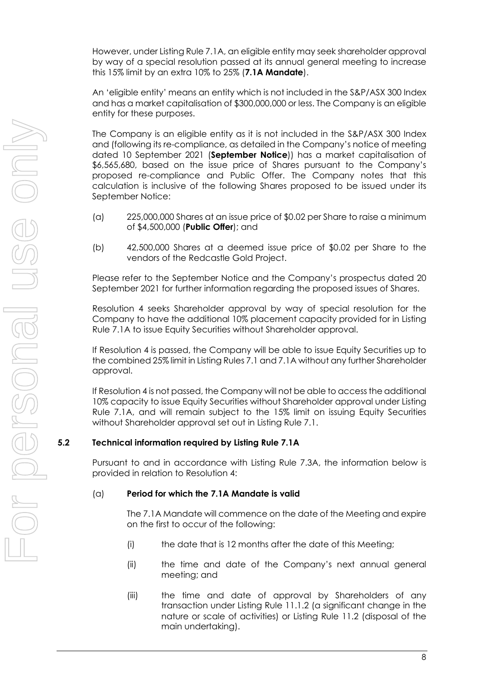However, under Listing Rule 7.1A, an eligible entity may seek shareholder approval by way of a special resolution passed at its annual general meeting to increase this 15% limit by an extra 10% to 25% (**7.1A Mandate**).

An 'eligible entity' means an entity which is not included in the S&P/ASX 300 Index and has a market capitalisation of \$300,000,000 or less. The Company is an eligible entity for these purposes.

The Company is an eligible entity as it is not included in the S&P/ASX 300 Index and (following its re-compliance, as detailed in the Company's notice of meeting dated 10 September 2021 (**September Notice**)) has a market capitalisation of \$6,565,680, based on the issue price of Shares pursuant to the Company's proposed re-compliance and Public Offer. The Company notes that this calculation is inclusive of the following Shares proposed to be issued under its September Notice:

- (a) 225,000,000 Shares at an issue price of \$0.02 per Share to raise a minimum of \$4,500,000 (**Public Offer**); and
- (b) 42,500,000 Shares at a deemed issue price of \$0.02 per Share to the vendors of the Redcastle Gold Project.

Please refer to the September Notice and the Company's prospectus dated 20 September 2021 for further information regarding the proposed issues of Shares.

Resolution 4 seeks Shareholder approval by way of special resolution for the Company to have the additional 10% placement capacity provided for in Listing Rule 7.1A to issue Equity Securities without Shareholder approval.

If Resolution 4 is passed, the Company will be able to issue Equity Securities up to the combined 25% limit in Listing Rules 7.1 and 7.1A without any further Shareholder approval.

If Resolution 4 is not passed, the Company will not be able to access the additional 10% capacity to issue Equity Securities without Shareholder approval under Listing Rule 7.1A, and will remain subject to the 15% limit on issuing Equity Securities without Shareholder approval set out in Listing Rule 7.1.

# **5.2 Technical information required by Listing Rule 7.1A**

Pursuant to and in accordance with Listing Rule 7.3A, the information below is provided in relation to Resolution 4:

# (a) **Period for which the 7.1A Mandate is valid**

The 7.1A Mandate will commence on the date of the Meeting and expire on the first to occur of the following:

- (i) the date that is 12 months after the date of this Meeting;
- (ii) the time and date of the Company's next annual general meeting; and
- (iii) the time and date of approval by Shareholders of any transaction under Listing Rule 11.1.2 (a significant change in the nature or scale of activities) or Listing Rule 11.2 (disposal of the main undertaking).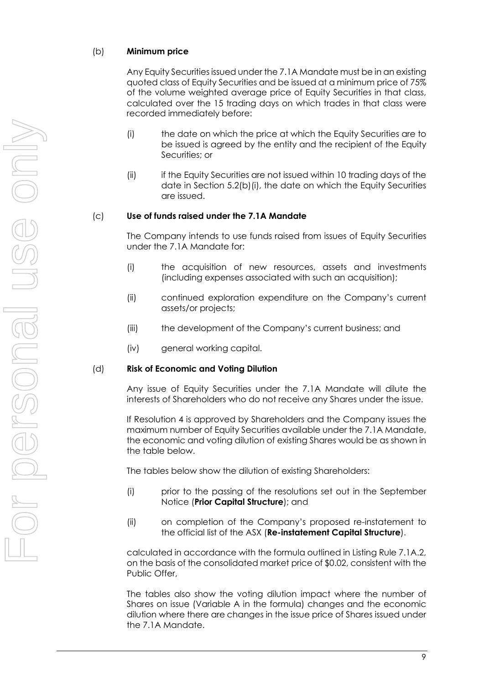# (b) **Minimum price**

Any Equity Securities issued under the 7.1A Mandate must be in an existing quoted class of Equity Securities and be issued at a minimum price of 75% of the volume weighted average price of Equity Securities in that class, calculated over the 15 trading days on which trades in that class were recorded immediately before:

- (i) the date on which the price at which the Equity Securities are to be issued is agreed by the entity and the recipient of the Equity Securities; or
- (ii) if the Equity Securities are not issued within 10 trading days of the date in Section 5.2(b)(i), the date on which the Equity Securities are issued.

#### (c) **Use of funds raised under the 7.1A Mandate**

The Company intends to use funds raised from issues of Equity Securities under the 7.1A Mandate for:

- (i) the acquisition of new resources, assets and investments (including expenses associated with such an acquisition);
- (ii) continued exploration expenditure on the Company's current assets/or projects;
- (iii) the development of the Company's current business; and
- (iv) general working capital.

#### (d) **Risk of Economic and Voting Dilution**

Any issue of Equity Securities under the 7.1A Mandate will dilute the interests of Shareholders who do not receive any Shares under the issue.

If Resolution 4 is approved by Shareholders and the Company issues the maximum number of Equity Securities available under the 7.1A Mandate, the economic and voting dilution of existing Shares would be as shown in the table below.

The tables below show the dilution of existing Shareholders:

- (i) prior to the passing of the resolutions set out in the September Notice (**Prior Capital Structure**); and
- (ii) on completion of the Company's proposed re-instatement to the official list of the ASX (**Re-instatement Capital Structure**).

calculated in accordance with the formula outlined in Listing Rule 7.1A.2, on the basis of the consolidated market price of \$0.02, consistent with the Public Offer,

The tables also show the voting dilution impact where the number of Shares on issue (Variable A in the formula) changes and the economic dilution where there are changes in the issue price of Shares issued under the 7.1A Mandate.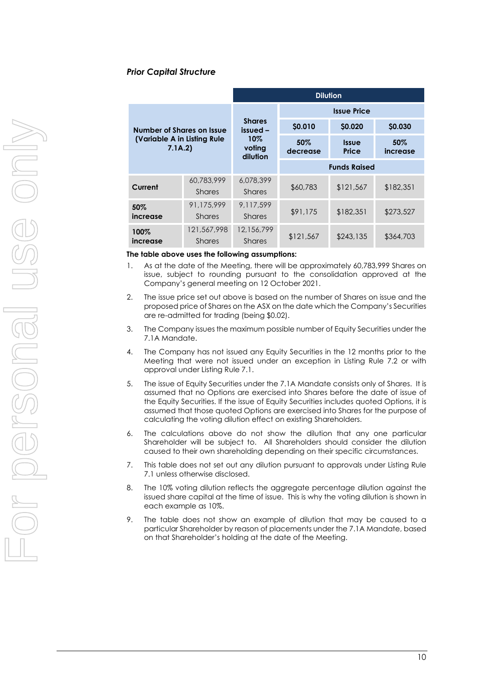#### *Prior Capital Structure*

|                                        |                              |                             | <b>Dilution</b> |                       |                 |
|----------------------------------------|------------------------------|-----------------------------|-----------------|-----------------------|-----------------|
|                                        |                              |                             |                 | <b>Issue Price</b>    |                 |
| Number of Shares on Issue              |                              | <b>Shares</b><br>issued -   | \$0.010         | \$0.020               | \$0.030         |
| (Variable A in Listing Rule<br>7.1A.2) |                              | 10%<br>voting<br>dilution   | 50%<br>decrease | <b>Issue</b><br>Price | 50%<br>increase |
|                                        |                              |                             |                 | <b>Funds Raised</b>   |                 |
| Current                                | 60,783,999<br><b>Shares</b>  | 6.078.399<br><b>Shares</b>  | \$60,783        | \$121,567             | \$182,351       |
| 50%<br><i>increase</i>                 | 91.175.999<br><b>Shares</b>  | 9,117,599<br><b>Shares</b>  | \$91,175        | \$182,351             | \$273,527       |
| 100%<br>increase                       | 121,567,998<br><b>Shares</b> | 12,156,799<br><b>Shares</b> | \$121,567       | \$243,135             | \$364,703       |

#### **The table above uses the following assumptions:**

- 1. As at the date of the Meeting, there will be approximately 60,783,999 Shares on issue, subject to rounding pursuant to the consolidation approved at the Company's general meeting on 12 October 2021.
- 2. The issue price set out above is based on the number of Shares on issue and the proposed price of Shares on the ASX on the date which the Company's Securities are re-admitted for trading (being \$0.02).
- 3. The Company issues the maximum possible number of Equity Securities under the 7.1A Mandate.
- 4. The Company has not issued any Equity Securities in the 12 months prior to the Meeting that were not issued under an exception in Listing Rule 7.2 or with approval under Listing Rule 7.1.
- 5. The issue of Equity Securities under the 7.1A Mandate consists only of Shares. It is assumed that no Options are exercised into Shares before the date of issue of the Equity Securities. If the issue of Equity Securities includes quoted Options, it is assumed that those quoted Options are exercised into Shares for the purpose of calculating the voting dilution effect on existing Shareholders.
- 6. The calculations above do not show the dilution that any one particular Shareholder will be subject to. All Shareholders should consider the dilution caused to their own shareholding depending on their specific circumstances.
- 7. This table does not set out any dilution pursuant to approvals under Listing Rule 7.1 unless otherwise disclosed.
- 8. The 10% voting dilution reflects the aggregate percentage dilution against the issued share capital at the time of issue. This is why the voting dilution is shown in each example as 10%.
- 9. The table does not show an example of dilution that may be caused to a particular Shareholder by reason of placements under the 7.1A Mandate, based on that Shareholder's holding at the date of the Meeting.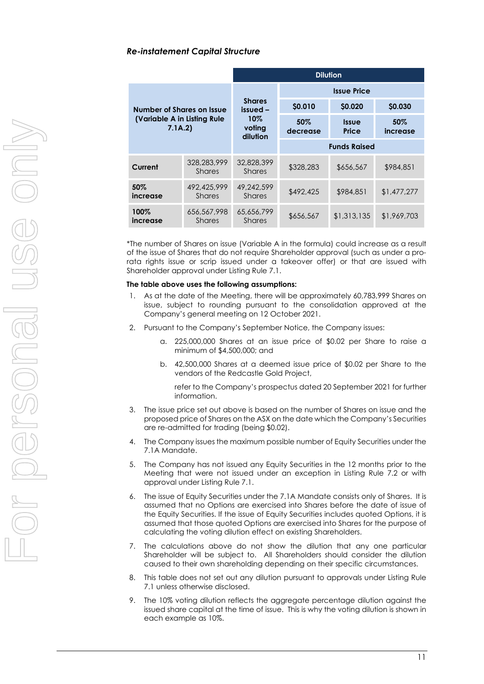#### *Re-instatement Capital Structure*

|                                                                      |                              |                                                           | <b>Dilution</b>     |                                     |                 |  |
|----------------------------------------------------------------------|------------------------------|-----------------------------------------------------------|---------------------|-------------------------------------|-----------------|--|
|                                                                      |                              |                                                           |                     | <b>Issue Price</b>                  |                 |  |
| Number of Shares on Issue<br>(Variable A in Listing Rule)<br>7.1A.2) |                              | <b>Shares</b><br>issued –<br>$10\%$<br>voting<br>dilution | \$0.010             | \$0.020                             | \$0.030         |  |
|                                                                      |                              |                                                           | 50%<br>decrease     | <i><u><b>Issue</b></u></i><br>Price | 50%<br>increase |  |
|                                                                      |                              |                                                           | <b>Funds Raised</b> |                                     |                 |  |
| Current                                                              | 328,283,999<br><b>Shares</b> | 32.828.399<br><b>Shares</b>                               | \$328,283           | \$656,567                           | \$984,851       |  |
| 50%<br>increase                                                      | 492,425,999<br><b>Shares</b> | 49.242.599<br><b>Shares</b>                               | \$492,425           | \$984,851                           | \$1,477,277     |  |
| 100%<br>increase                                                     | 656,567,998<br><b>Shares</b> | 65,656,799<br><b>Shares</b>                               | \$656,567           | \$1,313,135                         | \$1,969,703     |  |

\*The number of Shares on issue (Variable A in the formula) could increase as a result of the issue of Shares that do not require Shareholder approval (such as under a prorata rights issue or scrip issued under a takeover offer) or that are issued with Shareholder approval under Listing Rule 7.1.

#### **The table above uses the following assumptions:**

- 1. As at the date of the Meeting, there will be approximately 60,783,999 Shares on issue, subject to rounding pursuant to the consolidation approved at the Company's general meeting on 12 October 2021.
- 2. Pursuant to the Company's September Notice, the Company issues:
	- a. 225,000,000 Shares at an issue price of \$0.02 per Share to raise a minimum of \$4,500,000; and
	- b. 42,500,000 Shares at a deemed issue price of \$0.02 per Share to the vendors of the Redcastle Gold Project,

refer to the Company's prospectus dated 20 September 2021 for further information.

- 3. The issue price set out above is based on the number of Shares on issue and the proposed price of Shares on the ASX on the date which the Company's Securities are re-admitted for trading (being \$0.02).
- 4. The Company issues the maximum possible number of Equity Securities under the 7.1A Mandate.
- 5. The Company has not issued any Equity Securities in the 12 months prior to the Meeting that were not issued under an exception in Listing Rule 7.2 or with approval under Listing Rule 7.1.
- 6. The issue of Equity Securities under the 7.1A Mandate consists only of Shares. It is assumed that no Options are exercised into Shares before the date of issue of the Equity Securities. If the issue of Equity Securities includes quoted Options, it is assumed that those quoted Options are exercised into Shares for the purpose of calculating the voting dilution effect on existing Shareholders.
- 7. The calculations above do not show the dilution that any one particular Shareholder will be subject to. All Shareholders should consider the dilution caused to their own shareholding depending on their specific circumstances.
- 8. This table does not set out any dilution pursuant to approvals under Listing Rule 7.1 unless otherwise disclosed.
- 9. The 10% voting dilution reflects the aggregate percentage dilution against the issued share capital at the time of issue. This is why the voting dilution is shown in each example as 10%.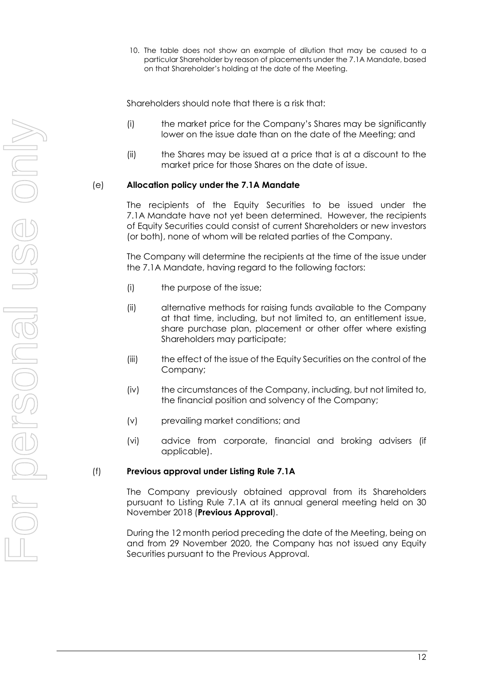10. The table does not show an example of dilution that may be caused to a particular Shareholder by reason of placements under the 7.1A Mandate, based on that Shareholder's holding at the date of the Meeting.

Shareholders should note that there is a risk that:

- (i) the market price for the Company's Shares may be significantly lower on the issue date than on the date of the Meeting; and
- (ii) the Shares may be issued at a price that is at a discount to the market price for those Shares on the date of issue.

#### (e) **Allocation policy under the 7.1A Mandate**

The recipients of the Equity Securities to be issued under the 7.1A Mandate have not yet been determined. However, the recipients of Equity Securities could consist of current Shareholders or new investors (or both), none of whom will be related parties of the Company.

The Company will determine the recipients at the time of the issue under the 7.1A Mandate, having regard to the following factors:

- (i) the purpose of the issue;
- (ii) alternative methods for raising funds available to the Company at that time, including, but not limited to, an entitlement issue, share purchase plan, placement or other offer where existing Shareholders may participate;
- (iii) the effect of the issue of the Equity Securities on the control of the Company;
- (iv) the circumstances of the Company, including, but not limited to, the financial position and solvency of the Company;
- (v) prevailing market conditions; and
- (vi) advice from corporate, financial and broking advisers (if applicable).

#### (f) **Previous approval under Listing Rule 7.1A**

The Company previously obtained approval from its Shareholders pursuant to Listing Rule 7.1A at its annual general meeting held on 30 November 2018 (**Previous Approval**).

During the 12 month period preceding the date of the Meeting, being on and from 29 November 2020, the Company has not issued any Equity Securities pursuant to the Previous Approval.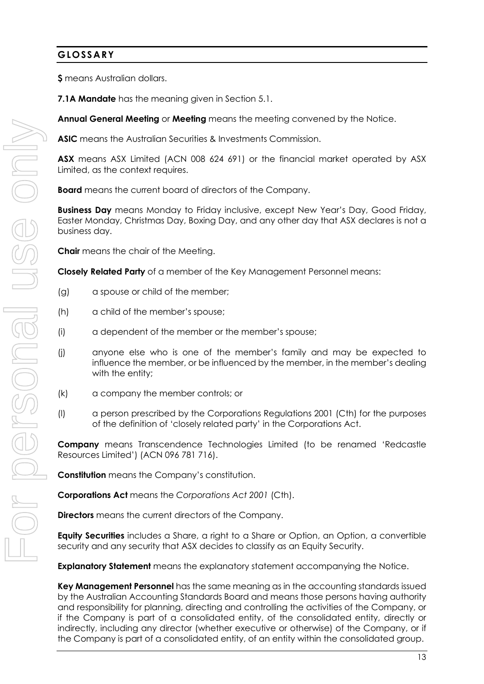# **GLOSSARY**

**\$** means Australian dollars.

**7.1A Mandate** has the meaning given in Section 5.1.

**Annual General Meeting** or **Meeting** means the meeting convened by the Notice.

**ASIC** means the Australian Securities & Investments Commission.

**ASX** means ASX Limited (ACN 008 624 691) or the financial market operated by ASX Limited, as the context requires.

**Board** means the current board of directors of the Company.

**Business Day** means Monday to Friday inclusive, except New Year's Day, Good Friday, Easter Monday, Christmas Day, Boxing Day, and any other day that ASX declares is not a business day.

**Chair** means the chair of the Meeting.

**Closely Related Party** of a member of the Key Management Personnel means:

- (g) a spouse or child of the member;
- (h) a child of the member's spouse;
- (i) a dependent of the member or the member's spouse;
- (j) anyone else who is one of the member's family and may be expected to influence the member, or be influenced by the member, in the member's dealing with the entity;
- (k) a company the member controls; or
- (l) a person prescribed by the Corporations Regulations 2001 (Cth) for the purposes of the definition of 'closely related party' in the Corporations Act.

**Company** means Transcendence Technologies Limited (to be renamed 'Redcastle Resources Limited') (ACN 096 781 716).

**Constitution** means the Company's constitution.

**Corporations Act** means the *Corporations Act 2001* (Cth).

**Directors** means the current directors of the Company.

**Equity Securities** includes a Share, a right to a Share or Option, an Option, a convertible security and any security that ASX decides to classify as an Equity Security.

**Explanatory Statement** means the explanatory statement accompanying the Notice.

**Key Management Personnel** has the same meaning as in the accounting standards issued by the Australian Accounting Standards Board and means those persons having authority and responsibility for planning, directing and controlling the activities of the Company, or if the Company is part of a consolidated entity, of the consolidated entity, directly or indirectly, including any director (whether executive or otherwise) of the Company, or if the Company is part of a consolidated entity, of an entity within the consolidated group.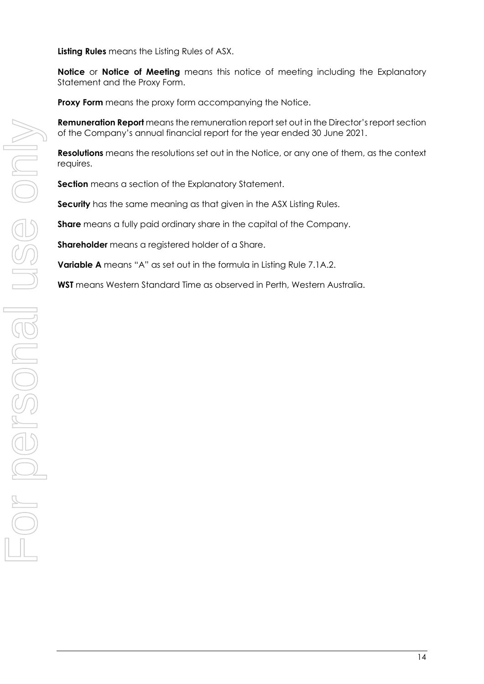**Listing Rules** means the Listing Rules of ASX.

**Notice** or **Notice of Meeting** means this notice of meeting including the Explanatory Statement and the Proxy Form.

**Proxy Form** means the proxy form accompanying the Notice.

**Remuneration Report** means the remuneration report set out in the Director's report section of the Company's annual financial report for the year ended 30 June 2021.

**Resolutions** means the resolutions set out in the Notice, or any one of them, as the context requires.

**Section** means a section of the Explanatory Statement.

**Security** has the same meaning as that given in the ASX Listing Rules.

**Share** means a fully paid ordinary share in the capital of the Company.

**Shareholder** means a registered holder of a Share.

**Variable A** means "A" as set out in the formula in Listing Rule 7.1A.2.

**WST** means Western Standard Time as observed in Perth, Western Australia.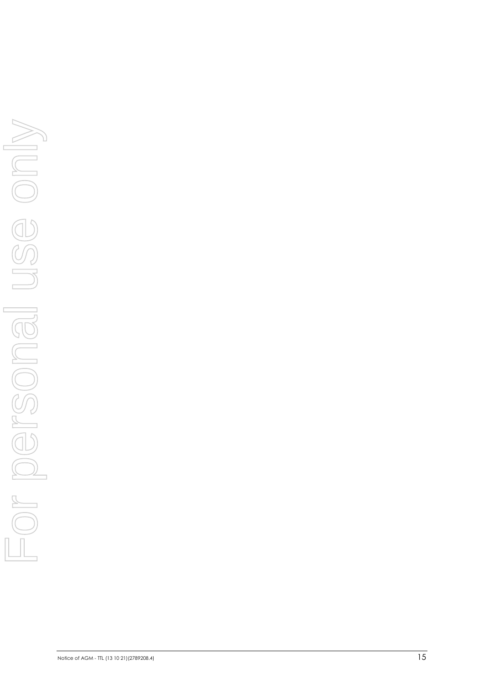# ISS ONIV For personal use only or persona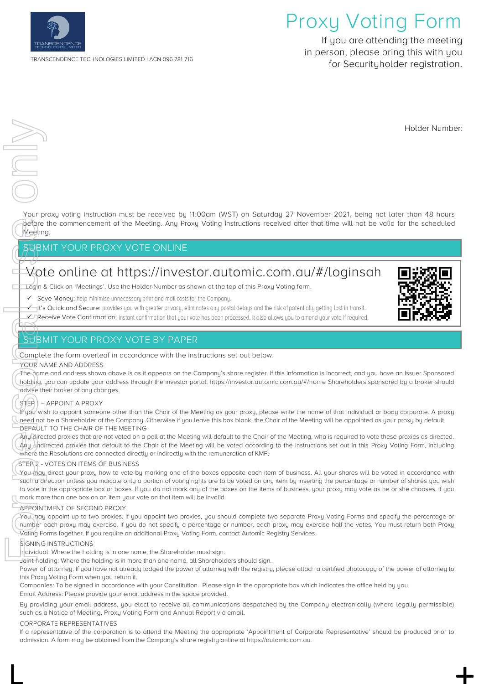

**TRANSCENDENCE TECHNOLOGIES LIMITED | ACN 096 781 716**

# **Proxy Voting Form**

**If you are attending the meeting in person, please bring this with you for Securityholder registration.**

**Holder Number:**

Your proxy voting instruction must be received by **11:00am (WST) on Saturday 27 November 2021,** being **not later than 48 hours** before the commencement of the Meeting. Any Proxy Voting instructions received after that time will not be valid for the scheduled Meeting.

#### **SUBMIT YOUR PROXY VOTE ONLINE**

# **Vote online at<https://investor.automic.com.au/#/loginsah>**

**Login & Click on 'Meetings'. Use the Holder Number as shown at the top of this Proxy Voting form.**

✓ **Save Money:**

**√ It's Quick and Secure:** provides you with greater privacy, eliminates any postal delays and the risk of potentially getting lost in transit.

**√ Receive Vote Confirmation:** instant confirmation that uour vote has been processed. It also allows uou to amend uour vote if required.

# **SUBMIT YOUR PROXY VOTE BY PAPER**

**Complete the form overleaf in accordance with the instructions set out below.**

**YOUR NAME AND ADDRESS**

The name and address shown above is as it appears on the Company's share register. If this information is incorrect, and you have an Issuer Sponsored holding, you can update your address through the investor portal: **https://investor.automic.com.au/#/home** Shareholders sponsored by a broker should advise their broker of any changes.

#### **STEP 1 – APPOINT A PROXY**

If you wish to appoint someone other than the Chair of the Meeting as your proxy, please write the name of that Individual or body corporate. A proxy need not be a Shareholder of the Company. Otherwise if you leave this box blank, the Chair of the Meeting will be appointed as your proxy by default. **DEFAULT TO THE CHAIR OF THE MEETING**

Any directed proxies that are not voted on a poll at the Meeting will default to the Chair of the Meeting, who is required to vote these proxies as directed. Any undirected proxies that default to the Chair of the Meeting will be voted according to the instructions set out in this Proxy Voting Form, including where the Resolutions are connected directly or indirectly with the remuneration of KMP.

#### **STEP 2 - VOTES ON ITEMS OF BUSINESS**

You may direct your proxy how to vote by marking one of the boxes opposite each item of business. All your shares will be voted in accordance with such a direction unless you indicate only a portion of voting rights are to be voted on any item by inserting the percentage or number of shares you wish to vote in the appropriate box or boxes. If you do not mark any of the boxes on the items of business, your proxy may vote as he or she chooses. If you mark more than one box on an item your vote on that item will be invalid. For Personal USUBN<br>
For Personal USUBN<br>
For Personal USUBN<br>
For Personal USUBN<br>
Complete Your NAT<br>
For Personal USUBN<br>
Complete Resonal USUBN<br>
Complete Resonal USUBN<br>
Complete Resonal USUBN<br>
Complete Resonal USUBN<br>
Complet

#### **APPOINTMENT OF SECOND PROXY**

You may appoint up to two proxies. If you appoint two proxies, you should complete two separate Proxy Voting Forms and specify the percentage or number each proxy may exercise. If you do not specify a percentage or number, each proxy may exercise half the votes. You must return both Proxy Voting Forms together. If you require an additional Proxy Voting Form, contact Automic Registry Services.

#### **SIGNING INSTRUCTIONS**

**Individual**: Where the holding is in one name, the Shareholder must sign.

**Joint holding**: Where the holding is in more than one name, all Shareholders should sign.

**Power of attorney**: If you have not already lodged the power of attorney with the registry, please attach a certified photocopy of the power of attorney to this Proxy Voting Form when you return it.

**Companies**: To be signed in accordance with your Constitution. Please sign in the appropriate box which indicates the office held by you. **Email Address**: Please provide your email address in the space provided.

**By providing your email address, you elect to receive all communications despatched by the Company electronically (where legally permissible) such as a Notice of Meeting, Proxy Voting Form and Annual Report via email.**

#### **CORPORATE REPRESENTATIVES**

If a representative of the corporation is to attend the Meeting the appropriate 'Appointment of Corporate Representative' should be produced prior to admission. A form may be obtained from the Company's share registry online at https://automic.com.au.

 $\mathsf L$  +  $\mathsf +$